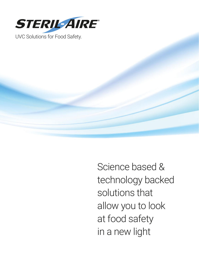

Science based & technology backed solutions that allow you to look at food safety in a new light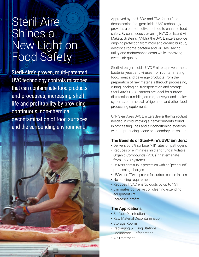# Steril-Aire Shines a New Light on Food Safety

Steril-Aire's proven, multi-patented UVC technology controls microbes that can contaminate food products and processes, increasing shelf life and profitability by providing continuous, non-chemical decontamination of food surfaces and the surrounding environment.

Approved by the USDA and FDA for surface decontamination, germicidal UVC technology provides a cost-effective method to enhance food safety. By continuously cleaning HVAC coils and Air Makeup Systems (AMUs), the UVC Emitters provide ongoing protection from mold and organic buildup, destroy airborne bacteria and viruses, saving utility and maintenance costs while improving overall air quality.

Steril-Aire's germicidal UVC Emitters prevent mold, bacteria, yeast and viruses from contaminating food, meat and beverage products from the preparation of raw materials through processing, curing, packaging, transportation and storage. Steril-Aire's UVC Emitters are ideal for surface disinfection, tumbling drums, conveyor and shaker systems, commercial refrigeration and other food processing equipment.

Only Steril-Aire's UVC Emitters deliver the high output needed in cold, moving air environments found in processing lines and air conditioning systems without producing ozone or secondary emissions.

#### **The Benefits of Steril-Aire's UVC Emitters:**

- Delivers 99.9% surface "kill" rates on pathogens
- Reduces or eliminates mild and fungal Volatile Organic Compounds (VOCs) that emanate from HVAC systems
- Delivers continuous protection with no "per pound" processing charges
- USDA and FDA approved for surface contamination
- No labeling requirement
- Reduces HVAC energy costs by up to 15%
- Eliminates corrosive coil cleaning extending equipment life
- Increases profits

#### **The Applications**

- Surface Disinfection
- Raw Material Decontamination
- Storage Rooms
- Packaging & Filling Stations
- Commercial Refrigeration
- Air Treatment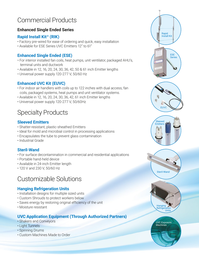# Commercial Products

### **Enhanced Single Ended Series**

### **Rapid Install Kit® (RIK)**

- Factory pre-wired for ease of ordering and quick, easy installation
- Available for ESE Series UVC Emitters 12" to 61"

### **Enhanced Single Ended (ESE)**

- For interior installed fan coils, heat pumps, unit ventilator, packaged AHU's, terminal units and ductwork
- Available in 12, 16, 20, 24, 30, 36, 42, 50 & 61 inch Emitter lengths
- Universal power supply 120-277 V, 50/60 Hz

### **Enhanced UVC Kit (EUVC)**

- For indoor air handlers with coils up to 122 inches with dual access, fan coils, packaged systems, heat pumps and unit ventilator systems.
- Available in 12, 16, 20, 24, 30, 36, 42, 61 inch Emitter lengths
- Universal power supply 120-277 V, 50/60Hz

# Specialty Products

### **Sleeved Emitters**

- Shatter-resistant, plastic-sheathed Emitters
- Ideal for mold and microbial control in processing applications
- Encapsulates the tube to prevent glass contamination
- Industrial Grade

### **Steril-Wand**

- For surface decontamination in commercial and residential applications
- Portable hand-held device
- Available in 24-inch Emitter length
- 120 V and 230 V, 50/60 Hz

## Customizable Solutions

### **Hanging Refrigeration Units**

- Installation designs for multiple sized units
- Custom Shrouds to protect workers below
- Saves energy by restoring original efficiency of the unit
- Moisture resistant

### **UVC Application Equipment (Through Authorized Partners)**

- Shakers and Conveyors
- Light Tunnels
- Spinning Drums
- Custom Machines Made to Order